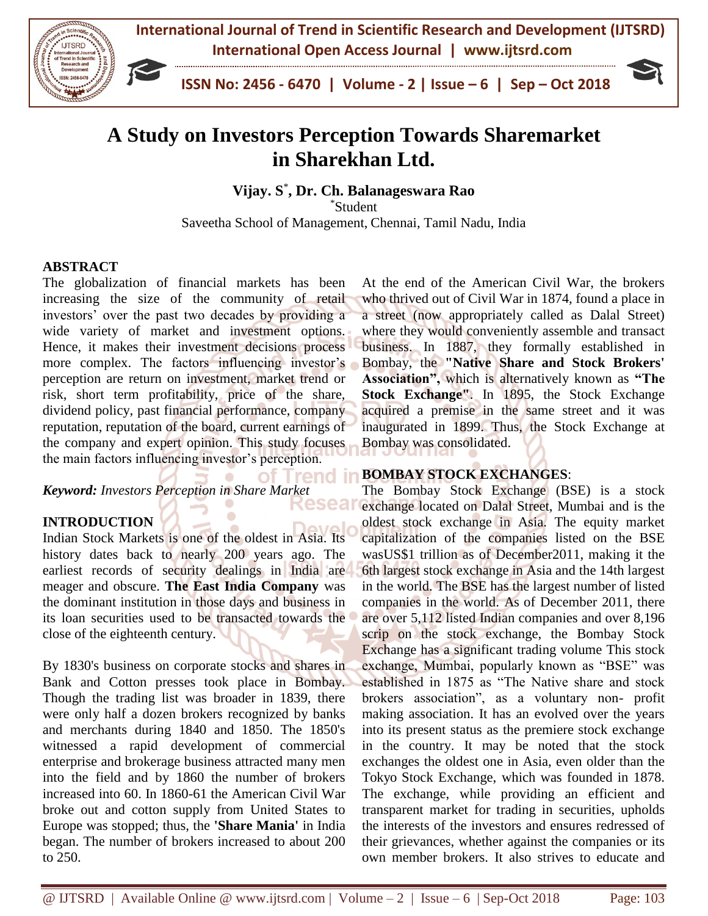

# **A Study on Investors Perception Towards Sharemarket in Sharekhan Ltd.**

**Vijay. S** \* **, Dr. Ch. Balanageswara Rao**

\*Student

Saveetha School of Management, Chennai, Tamil Nadu, India

## **ABSTRACT**

The globalization of financial markets has been increasing the size of the community of retail investors' over the past two decades by providing a wide variety of market and investment options. Hence, it makes their investment decisions process more complex. The factors influencing investor's perception are return on investment, market trend or risk, short term profitability, price of the share, dividend policy, past financial performance, company reputation, reputation of the board, current earnings of the company and expert opinion. This study focuses the main factors influencing investor's perception.

of Trend *Keyword: Investors Perception in Share Market* kesear

## **INTRODUCTION**

Indian Stock Markets is one of the oldest in Asia. Its history dates back to nearly 200 years ago. The earliest records of security dealings in India are meager and obscure. **The East India Company** was the dominant institution in those days and business in its loan securities used to be transacted towards the close of the eighteenth century.

By 1830's business on corporate stocks and shares in Bank and Cotton presses took place in Bombay. Though the trading list was broader in 1839, there were only half a dozen brokers recognized by banks and merchants during 1840 and 1850. The 1850's witnessed a rapid development of commercial enterprise and brokerage business attracted many men into the field and by 1860 the number of brokers increased into 60. In 1860-61 the American Civil War broke out and cotton supply from United States to Europe was stopped; thus, the **'Share Mania'** in India began. The number of brokers increased to about 200 to 250.

At the end of the American Civil War, the brokers who thrived out of Civil War in 1874, found a place in a street (now appropriately called as Dalal Street) where they would conveniently assemble and transact business. In 1887, they formally established in Bombay, the **"Native Share and Stock Brokers' Association",** which is alternatively known as **"The Stock Exchange"**. In 1895, the Stock Exchange acquired a premise in the same street and it was inaugurated in 1899. Thus, the Stock Exchange at Bombay was consolidated.

## **BOMBAY STOCK EXCHANGES**:

The Bombay Stock Exchange (BSE) is a stock exchange located on Dalal Street, Mumbai and is the oldest stock exchange in Asia. The equity market capitalization of the companies listed on the BSE wasUS\$1 trillion as of December2011, making it the 6th largest stock exchange in Asia and the 14th largest in the world. The BSE has the largest number of listed companies in the world. As of December 2011, there are over 5,112 listed Indian companies and over 8,196 scrip on the stock exchange, the Bombay Stock Exchange has a significant trading volume This stock exchange, Mumbai, popularly known as "BSE" was established in 1875 as "The Native share and stock brokers association", as a voluntary non- profit making association. It has an evolved over the years into its present status as the premiere stock exchange in the country. It may be noted that the stock exchanges the oldest one in Asia, even older than the Tokyo Stock Exchange, which was founded in 1878. The exchange, while providing an efficient and transparent market for trading in securities, upholds the interests of the investors and ensures redressed of their grievances, whether against the companies or its own member brokers. It also strives to educate and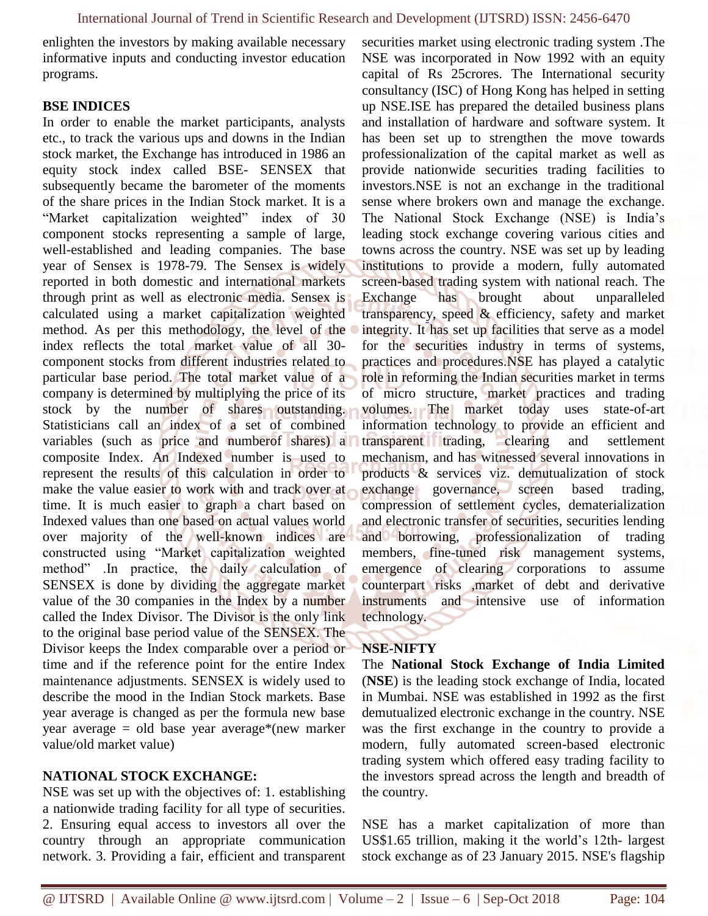enlighten the investors by making available necessary informative inputs and conducting investor education programs.

#### **BSE INDICES**

In order to enable the market participants, analysts etc., to track the various ups and downs in the Indian stock market, the Exchange has introduced in 1986 an equity stock index called BSE- SENSEX that subsequently became the barometer of the moments of the share prices in the Indian Stock market. It is a "Market capitalization weighted" index of 30 component stocks representing a sample of large, well-established and leading companies. The base year of Sensex is 1978-79. The Sensex is widely reported in both domestic and international markets through print as well as electronic media. Sensex is calculated using a market capitalization weighted method. As per this methodology, the level of the index reflects the total market value of all 30 component stocks from different industries related to particular base period. The total market value of a company is determined by multiplying the price of its stock by the number of shares outstanding. Statisticians call an index of a set of combined variables (such as price and numberof shares) a composite Index. An Indexed number is used to represent the results of this calculation in order to make the value easier to work with and track over at time. It is much easier to graph a chart based on Indexed values than one based on actual values world over majority of the well-known indices are constructed using "Market capitalization weighted method" .In practice, the daily calculation of SENSEX is done by dividing the aggregate market value of the 30 companies in the Index by a number called the Index Divisor. The Divisor is the only link to the original base period value of the SENSEX. The Divisor keeps the Index comparable over a period or time and if the reference point for the entire Index maintenance adjustments. SENSEX is widely used to describe the mood in the Indian Stock markets. Base year average is changed as per the formula new base year average = old base year average\*(new marker value/old market value)

## **NATIONAL STOCK EXCHANGE:**

NSE was set up with the objectives of: 1. establishing a nationwide trading facility for all type of securities. 2. Ensuring equal access to investors all over the country through an appropriate communication network. 3. Providing a fair, efficient and transparent securities market using electronic trading system .The NSE was incorporated in Now 1992 with an equity capital of Rs 25crores. The International security consultancy (ISC) of Hong Kong has helped in setting up NSE.ISE has prepared the detailed business plans and installation of hardware and software system. It has been set up to strengthen the move towards professionalization of the capital market as well as provide nationwide securities trading facilities to investors.NSE is not an exchange in the traditional sense where brokers own and manage the exchange. The National Stock Exchange (NSE) is India's leading stock exchange covering various cities and towns across the country. NSE was set up by leading institutions to provide a modern, fully automated screen-based trading system with national reach. The Exchange has brought about unparalleled transparency, speed & efficiency, safety and market integrity. It has set up facilities that serve as a model for the securities industry in terms of systems, practices and procedures.NSE has played a catalytic role in reforming the Indian securities market in terms of micro structure, market practices and trading volumes. The market today uses state-of-art information technology to provide an efficient and transparent trading, clearing and settlement mechanism, and has witnessed several innovations in products & services viz. demutualization of stock exchange governance, screen based trading, compression of settlement cycles, dematerialization and electronic transfer of securities, securities lending and borrowing, professionalization of trading members, fine-tuned risk management systems, emergence of clearing corporations to assume counterpart risks ,market of debt and derivative instruments and intensive use of information technology.

#### **NSE-NIFTY**

The **National Stock Exchange of India Limited**  (**NSE**) is the leading [stock exchange](https://en.wikipedia.org/wiki/Stock_exchange) of India, located in [Mumbai.](https://en.wikipedia.org/wiki/Mumbai) NSE was established in 1992 as the first demutualized electronic exchange in the country. NSE was the first exchange in the country to provide a modern, fully automated screen-based electronic trading system which offered easy trading facility to the investors spread across the length and breadth of the country.

NSE has a [market capitalization o](https://en.wikipedia.org/wiki/Market_capitalization)f more than US\$1.65 trillion, making it [the world's 12th-](https://en.wikipedia.org/wiki/List_of_stock_exchanges#Major_stock_exchanges) [largest](https://en.wikipedia.org/wiki/List_of_stock_exchanges#Major_stock_exchanges)  [stock exchange a](https://en.wikipedia.org/wiki/List_of_stock_exchanges#Major_stock_exchanges)s of 23 January 2015. NSE's flagship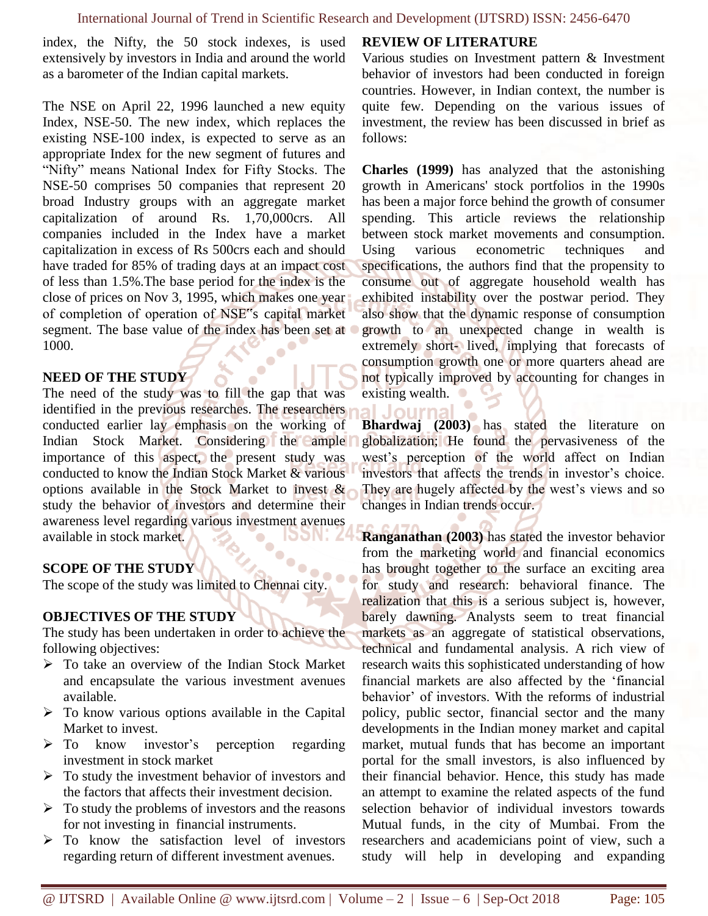index, the Nifty, the 50 stock indexes, is used extensively by investors in India and around the world as a barometer of the Indian capital markets.

The NSE on April 22, 1996 launched a new equity Index, NSE-50. The new index, which replaces the existing NSE-100 index, is expected to serve as an appropriate Index for the new segment of futures and "Nifty" means National Index for Fifty Stocks. The NSE-50 comprises 50 companies that represent 20 broad Industry groups with an aggregate market capitalization of around Rs. 1,70,000crs. All companies included in the Index have a market capitalization in excess of Rs 500crs each and should have traded for 85% of trading days at an impact cost of less than 1.5%.The base period for the index is the close of prices on Nov 3, 1995, which makes one year of completion of operation of NSE"s capital market segment. The base value of the index has been set at 1000.

#### **NEED OF THE STUDY**

The need of the study was to fill the gap that was identified in the previous researches. The researchers conducted earlier lay emphasis on the working of Indian Stock Market. Considering the ample importance of this aspect, the present study was conducted to know the Indian Stock Market & various options available in the Stock Market to invest & study the behavior of investors and determine their awareness level regarding various investment avenues available in stock market.

#### **SCOPE OF THE STUDY**

The scope of the study was limited to Chennai city.

#### **OBJECTIVES OF THE STUDY**

The study has been undertaken in order to achieve the following objectives:

- ➢ To take an overview of the Indian Stock Market and encapsulate the various investment avenues available.
- $\triangleright$  To know various options available in the Capital Market to invest.
- ➢ To know investor's perception regarding investment in stock market
- $\triangleright$  To study the investment behavior of investors and the factors that affects their investment decision.
- $\triangleright$  To study the problems of investors and the reasons for not investing in financial instruments.
- ➢ To know the satisfaction level of investors regarding return of different investment avenues.

## **REVIEW OF LITERATURE**

al Journa

Various studies on Investment pattern & Investment behavior of investors had been conducted in foreign countries. However, in Indian context, the number is quite few. Depending on the various issues of investment, the review has been discussed in brief as follows:

**Charles (1999)** has analyzed that the astonishing growth in Americans' stock portfolios in the 1990s has been a major force behind the growth of consumer spending. This article reviews the relationship between stock market movements and consumption. Using various econometric techniques and specifications, the authors find that the propensity to consume out of aggregate household wealth has exhibited instability over the postwar period. They also show that the dynamic response of consumption growth to an unexpected change in wealth is extremely short- lived, implying that forecasts of consumption growth one or more quarters ahead are not typically improved by accounting for changes in existing wealth.

**Bhardwaj (2003)** has stated the literature on globalization; He found the pervasiveness of the west's perception of the world affect on Indian investors that affects the trends in investor's choice. They are hugely affected by the west's views and so changes in Indian trends occur.

**Ranganathan (2003)** has stated the investor behavior from the marketing world and financial economics has brought together to the surface an exciting area for study and research: behavioral finance. The realization that this is a serious subject is, however, barely dawning. Analysts seem to treat financial markets as an aggregate of statistical observations, technical and fundamental analysis. A rich view of research waits this sophisticated understanding of how financial markets are also affected by the 'financial behavior' of investors. With the reforms of industrial policy, public sector, financial sector and the many developments in the Indian money market and capital market, mutual funds that has become an important portal for the small investors, is also influenced by their financial behavior. Hence, this study has made an attempt to examine the related aspects of the fund selection behavior of individual investors towards Mutual funds, in the city of Mumbai. From the researchers and academicians point of view, such a study will help in developing and expanding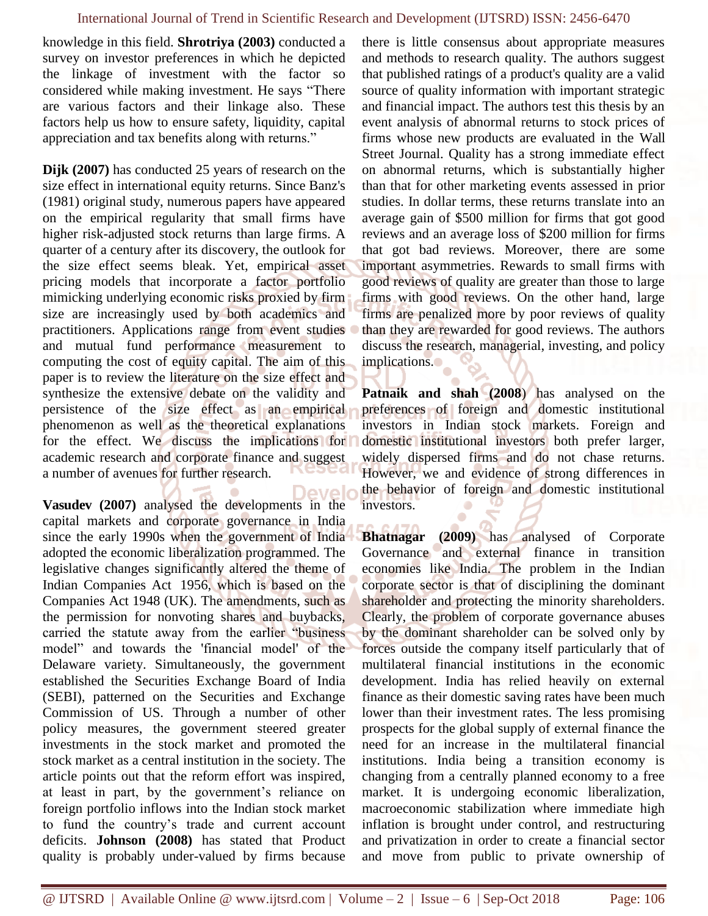knowledge in this field. **Shrotriya (2003)** conducted a survey on investor preferences in which he depicted the linkage of investment with the factor so considered while making investment. He says "There are various factors and their linkage also. These factors help us how to ensure safety, liquidity, capital appreciation and tax benefits along with returns."

**Dijk (2007)** has conducted 25 years of research on the size effect in international equity returns. Since Banz's (1981) original study, numerous papers have appeared on the empirical regularity that small firms have higher risk-adjusted stock returns than large firms. A quarter of a century after its discovery, the outlook for the size effect seems bleak. Yet, empirical asset pricing models that incorporate a factor portfolio mimicking underlying economic risks proxied by firm size are increasingly used by both academics and practitioners. Applications range from event studies and mutual fund performance measurement to computing the cost of equity capital. The aim of this paper is to review the literature on the size effect and synthesize the extensive debate on the validity and persistence of the size effect as an empirical phenomenon as well as the theoretical explanations for the effect. We discuss the implications for academic research and corporate finance and suggest a number of avenues for further research.

Devek **Vasudev (2007)** analysed the developments in the capital markets and corporate governance in India since the early 1990s when the government of India adopted the economic liberalization programmed. The legislative changes significantly altered the theme of Indian Companies Act 1956, which is based on the Companies Act 1948 (UK). The amendments, such as the permission for nonvoting shares and buybacks, carried the statute away from the earlier "business model" and towards the 'financial model' of the Delaware variety. Simultaneously, the government established the Securities Exchange Board of India (SEBI), patterned on the Securities and Exchange Commission of US. Through a number of other policy measures, the government steered greater investments in the stock market and promoted the stock market as a central institution in the society. The article points out that the reform effort was inspired, at least in part, by the government's reliance on foreign portfolio inflows into the Indian stock market to fund the country's trade and current account deficits. **Johnson (2008)** has stated that Product quality is probably under-valued by firms because

there is little consensus about appropriate measures and methods to research quality. The authors suggest that published ratings of a product's quality are a valid source of quality information with important strategic and financial impact. The authors test this thesis by an event analysis of abnormal returns to stock prices of firms whose new products are evaluated in the Wall Street Journal. Quality has a strong immediate effect on abnormal returns, which is substantially higher than that for other marketing events assessed in prior studies. In dollar terms, these returns translate into an average gain of \$500 million for firms that got good reviews and an average loss of \$200 million for firms that got bad reviews. Moreover, there are some important asymmetries. Rewards to small firms with good reviews of quality are greater than those to large firms with good reviews. On the other hand, large firms are penalized more by poor reviews of quality than they are rewarded for good reviews. The authors discuss the research, managerial, investing, and policy implications.

**Patnaik and shah (2008**) has analysed on the preferences of foreign and domestic institutional investors in Indian stock markets. Foreign and domestic institutional investors both prefer larger, widely dispersed firms and do not chase returns. However, we and evidence of strong differences in the behavior of foreign and domestic institutional investors.

**Bhatnagar (2009)** has analysed of Corporate Governance and external finance in transition economies like India. The problem in the Indian corporate sector is that of disciplining the dominant shareholder and protecting the minority shareholders. Clearly, the problem of corporate governance abuses by the dominant shareholder can be solved only by forces outside the company itself particularly that of multilateral financial institutions in the economic development. India has relied heavily on external finance as their domestic saving rates have been much lower than their investment rates. The less promising prospects for the global supply of external finance the need for an increase in the multilateral financial institutions. India being a transition economy is changing from a centrally planned economy to a free market. It is undergoing economic liberalization, macroeconomic stabilization where immediate high inflation is brought under control, and restructuring and privatization in order to create a financial sector and move from public to private ownership of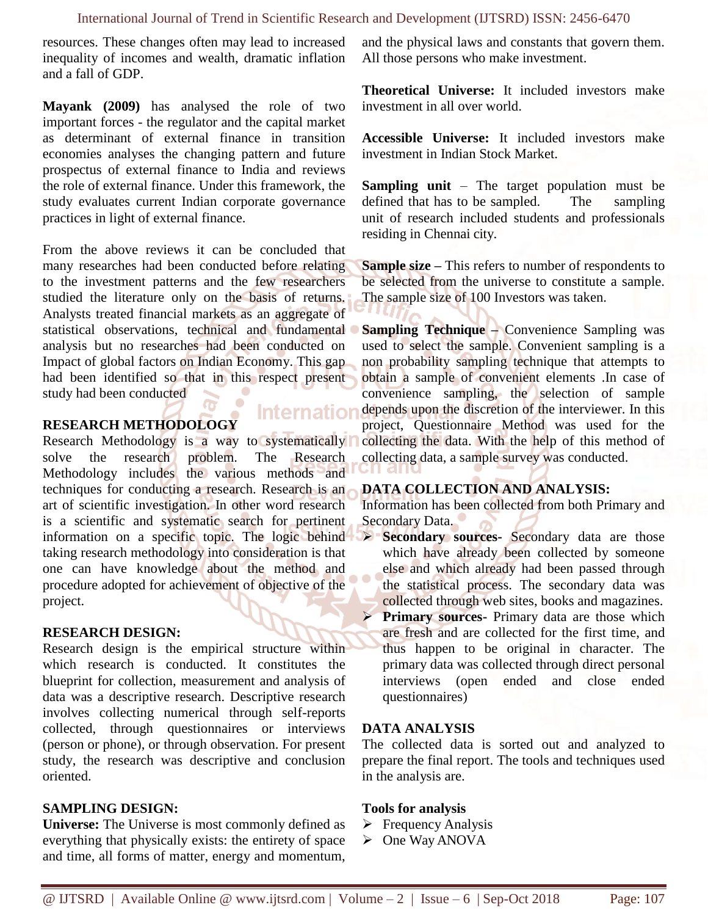#### International Journal of Trend in Scientific Research and Development (IJTSRD) ISSN: 2456-6470

resources. These changes often may lead to increased inequality of incomes and wealth, dramatic inflation and a fall of GDP.

**Mayank (2009)** has analysed the role of two important forces - the regulator and the capital market as determinant of external finance in transition economies analyses the changing pattern and future prospectus of external finance to India and reviews the role of external finance. Under this framework, the study evaluates current Indian corporate governance practices in light of external finance.

From the above reviews it can be concluded that many researches had been conducted before relating to the investment patterns and the few researchers studied the literature only on the basis of returns. Analysts treated financial markets as an aggregate of statistical observations, technical and fundamental analysis but no researches had been conducted on Impact of global factors on Indian Economy. This gap had been identified so that in this respect present study had been conducted

## **RESEARCH METHODOLOGY**

Research Methodology is a way to systematically solve the research problem. The Research Methodology includes the various methods and techniques for conducting a research. Research is an art of scientific investigation. In other word research is a scientific and systematic search for pertinent information on a specific topic. The logic behind taking research methodology into consideration is that one can have knowledge about the method and procedure adopted for achievement of objective of the project.

#### **RESEARCH DESIGN:**

Research design is the empirical structure within which research is conducted. It constitutes the blueprint for collection, measurement and analysis of data was a descriptive research. Descriptive research involves collecting numerical through self-reports collected, through questionnaires or interviews (person or phone), or through observation. For present study, the research was descriptive and conclusion oriented.

## **SAMPLING DESIGN:**

**Universe:** The Universe is most commonly defined as everything that physically exists: the entirety of space and time, all forms of matter, energy and momentum,

and the physical laws and constants that govern them. All those persons who make investment.

**Theoretical Universe:** It included investors make investment in all over world.

**Accessible Universe:** It included investors make investment in Indian Stock Market.

**Sampling unit** – The target population must be defined that has to be sampled. The sampling unit of research included students and professionals residing in Chennai city.

**Sample size –** This refers to number of respondents to be selected from the universe to constitute a sample. The sample size of 100 Investors was taken.

**Sampling Technique –** Convenience Sampling was used to select the sample. Convenient sampling is a non probability sampling technique that attempts to obtain a sample of convenient elements .In case of convenience sampling, the selection of sample depends upon the discretion of the interviewer. In this project, Questionnaire Method was used for the collecting the data. With the help of this method of collecting data, a sample survey was conducted.

#### **DATA COLLECTION AND ANALYSIS:**

Information has been collected from both Primary and Secondary Data.

- ➢ **Secondary sources-** Secondary data are those which have already been collected by someone else and which already had been passed through the statistical process. The secondary data was collected through web sites, books and magazines.
	- **Primary sources-** Primary data are those which are fresh and are collected for the first time, and thus happen to be original in character. The primary data was collected through direct personal interviews (open ended and close ended questionnaires)

#### **DATA ANALYSIS**

The collected data is sorted out and analyzed to prepare the final report. The tools and techniques used in the analysis are.

#### **Tools for analysis**

- ➢ Frequency Analysis
- ➢ One Way ANOVA

**Internatior**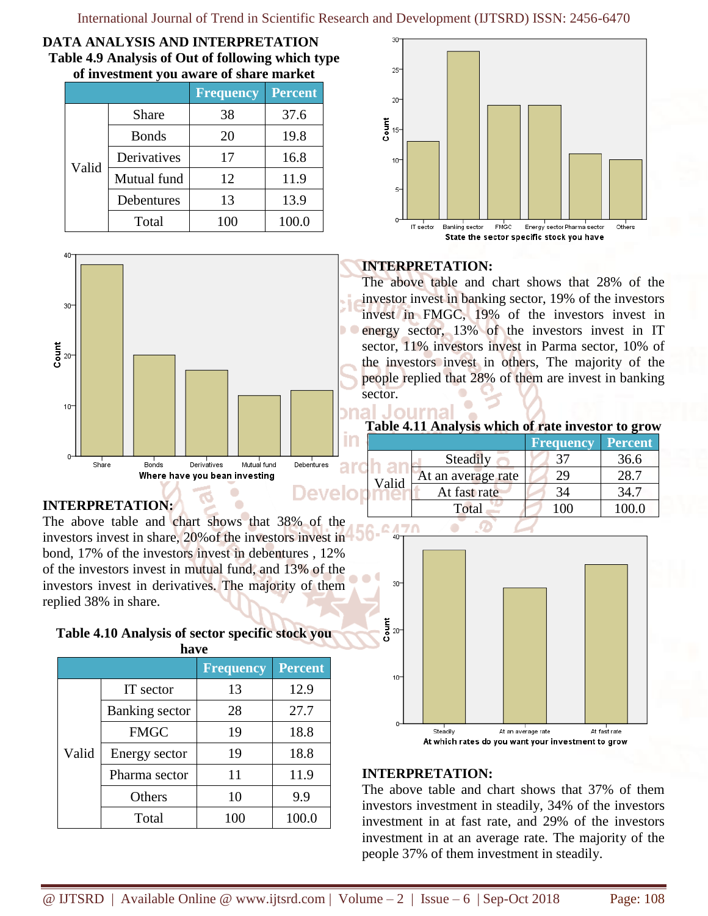#### **DATA ANALYSIS AND INTERPRETATION Table 4.9 Analysis of Out of following which type of investment you aware of share market**

|       |              | <b>Frequency</b> | <b>Percent</b> |  |
|-------|--------------|------------------|----------------|--|
|       | Share        | 38               | 37.6           |  |
|       | <b>Bonds</b> | 20               | 19.8           |  |
| Valid | Derivatives  | 17               | 16.8           |  |
|       | Mutual fund  | 12               | 11.9           |  |
|       | Debentures   | 13               | 13.9           |  |
|       | Total        | 100              | 100.0          |  |



## **INTERPRETATION:**

Iourna

The above table and chart shows that 28% of the investor invest in banking sector, 19% of the investors invest in FMGC, 19% of the investors invest in energy sector, 13% of the investors invest in IT sector, 11% investors invest in Parma sector, 10% of the investors invest in others, The majority of the people replied that 28% of them are invest in banking sector.

## **Table 4.11 Analysis which of rate investor to grow**

|                                                |            |       |                    | <b>Frequency</b> | Percent |
|------------------------------------------------|------------|-------|--------------------|------------------|---------|
| Mutual fund<br>Derivatives<br>Bonds<br>Share   | Debentures |       | Steadily           |                  | 36.6    |
| Where have you bean investing                  |            | Valid | At an average rate | 29               | 28.7    |
|                                                |            |       | At fast rate       | 34               | 34.7    |
| <b>ITERPRETATION:</b>                          |            |       | Total              | 100              | 100.0   |
| a above table and chart shows that 2804 of the |            |       |                    |                  |         |



## **INTERPRETATION:**

The above table and chart shows that 37% of them investors investment in steadily, 34% of the investors investment in at fast rate, and 29% of the investors investment in at an average rate. The majority of the people 37% of them investment in steadily.



## **INTERPRETATION:**

40

The above table and chart shows that investors invest in share, 20%of the investors invest in bond, 17% of the investors invest in debentures , 12% of the investors invest in mutual fund, and 13% of the investors invest in derivatives. The majority of them replied 38% in share.

## **Table 4.10 Analysis of sector specific stock you**

|       |                | <b>Frequency</b> | <b>Percent</b> |
|-------|----------------|------------------|----------------|
|       | IT sector      | 13               | 12.9           |
|       | Banking sector | 28               | 27.7           |
| Valid | <b>FMGC</b>    | 19               | 18.8           |
|       | Energy sector  | 19               | 18.8           |
|       | Pharma sector  | 11               | 11.9           |
|       | Others         | 10               | 9.9            |
|       | Total          | 100              | 100.0          |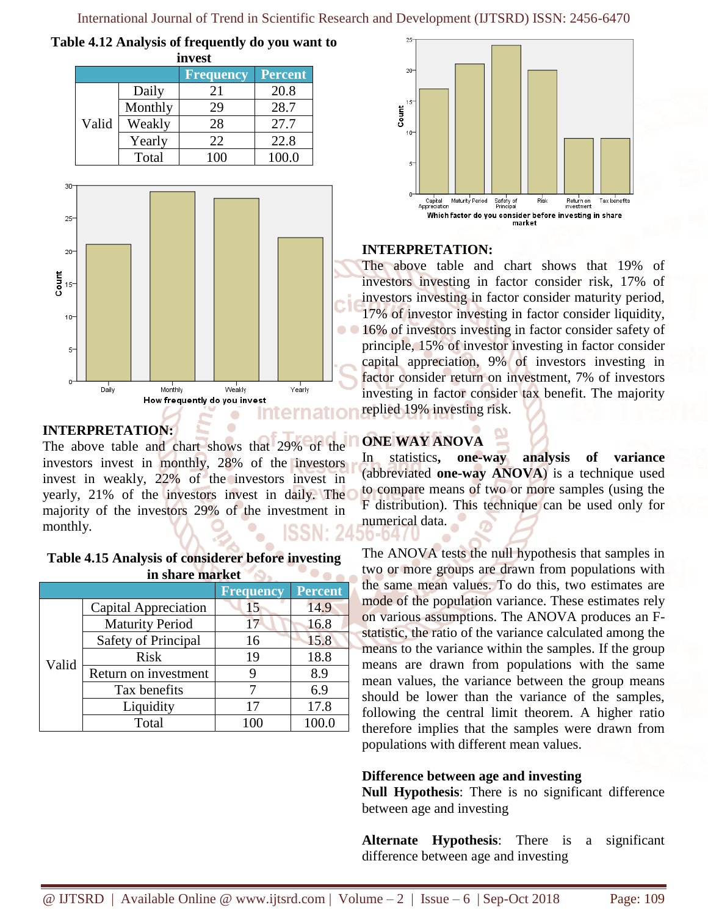**Table 4.12 Analysis of frequently do you want to** 

| invest                      |         |     |       |  |  |  |
|-----------------------------|---------|-----|-------|--|--|--|
| Percent<br><b>Frequency</b> |         |     |       |  |  |  |
|                             | Daily   | 21  | 20.8  |  |  |  |
|                             | Monthly | 29  | 28.7  |  |  |  |
| Valid                       | Weakly  | 28  | 27.7  |  |  |  |
|                             | Yearly  | 22  | 22.8  |  |  |  |
|                             | Total   | 100 | 100.0 |  |  |  |



## **INTERPRETATION:**

The above table and chart shows that 29% of the investors invest in monthly, 28% of the investors invest in weakly, 22% of the investors invest in yearly, 21% of the investors invest in daily. The majority of the investors 29% of the investment in monthly.

| Table 4.15 Analysis of considerer before investing |  |
|----------------------------------------------------|--|
| in share market                                    |  |

|       |                        | <b>Frequency</b> | Percent |
|-------|------------------------|------------------|---------|
|       | Capital Appreciation   | 15               | 14.9    |
|       | <b>Maturity Period</b> | 17               | 16.8    |
|       | Safety of Principal    | 16               | 15.8    |
|       | <b>Risk</b>            | 19               | 18.8    |
| Valid | Return on investment   |                  | 8.9     |
|       | Tax benefits           |                  | 6.9     |
|       | Liquidity              | 17               | 17.8    |
|       | Total                  |                  |         |



## **INTERPRETATION:**

The above table and chart shows that 19% of investors investing in factor consider risk, 17% of investors investing in factor consider maturity period, 17% of investor investing in factor consider liquidity, 16% of investors investing in factor consider safety of principle, 15% of investor investing in factor consider capital appreciation, 9% of investors investing in factor consider return on investment, 7% of investors investing in factor consider tax benefit. The majority replied 19% investing risk.

# **ONE WAY ANOVA**

In statistics**, one-way analysis of variance**  (abbreviated **one-way ANOVA**) is a technique used to compare means of two or more samples (using the F distribution). This technique can be used only for numerical data. O-047

The ANOVA tests the null hypothesis that samples in two or more groups are drawn from populations with the same mean values. To do this, two estimates are mode of the population variance. These estimates rely on various assumptions. The ANOVA produces an Fstatistic, the ratio of the variance calculated among the means to the variance within the samples. If the group means are drawn from populations with the same mean values, the variance between the group means should be lower than the variance of the samples, following the central limit theorem. A higher ratio therefore implies that the samples were drawn from populations with different mean values.

## **Difference between age and investing**

**Null Hypothesis**: There is no significant difference between age and investing

**Alternate Hypothesis**: There is a significant difference between age and investing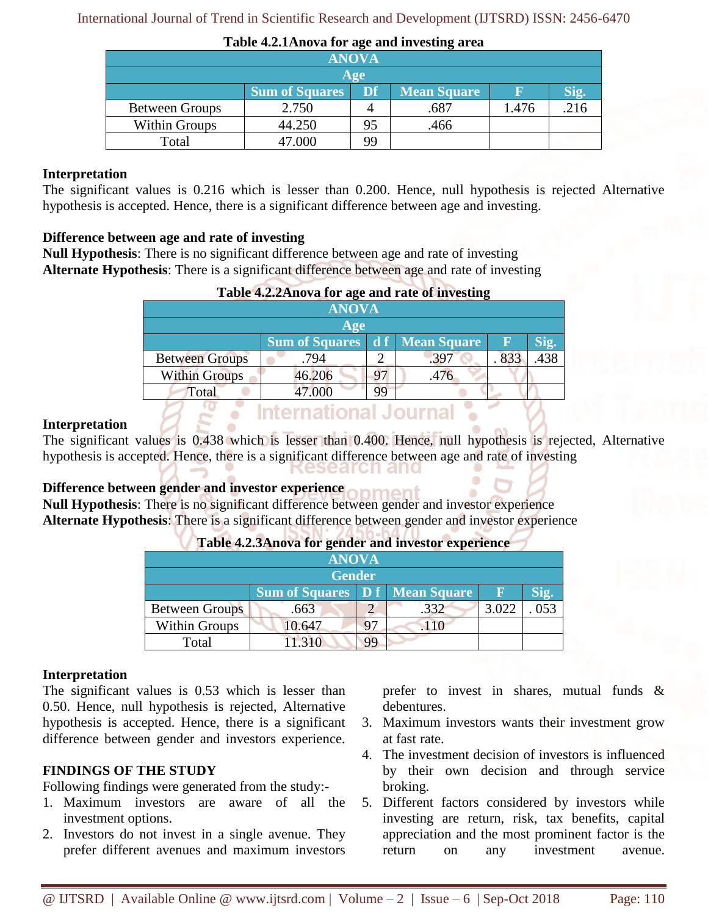International Journal of Trend in Scientific Research and Development (IJTSRD) ISSN: 2456-6470

|                       |                       |     | ຼ                  |       |      |  |  |
|-----------------------|-----------------------|-----|--------------------|-------|------|--|--|
|                       | <b>ANOVA</b>          |     |                    |       |      |  |  |
|                       |                       | Age |                    |       |      |  |  |
|                       | <b>Sum of Squares</b> | Df  | <b>Mean Square</b> |       |      |  |  |
| <b>Between Groups</b> | 2.750                 |     | .687               | 1.476 | .216 |  |  |
| <b>Within Groups</b>  | 44.250                | 95  | .466               |       |      |  |  |
| Total                 | 47.000                | 99  |                    |       |      |  |  |

#### **Table 4.2.1Anova for age and investing area**

#### **Interpretation**

The significant values is 0.216 which is lesser than 0.200. Hence, null hypothesis is rejected Alternative hypothesis is accepted. Hence, there is a significant difference between age and investing.

#### **Difference between age and rate of investing**

**Null Hypothesis**: There is no significant difference between age and rate of investing **Alternate Hypothesis**: There is a significant difference between age and rate of investing

|                       | Table 4.2.2 Anova for age and rate of investing |    |      |     |      |
|-----------------------|-------------------------------------------------|----|------|-----|------|
|                       | <b>ANOVA</b>                                    |    |      |     |      |
|                       | Age                                             |    |      |     |      |
|                       | <b>Sum of Squares</b> d f Mean Square           |    |      | n   | Sig. |
| <b>Between Groups</b> | .794                                            |    | .397 | 833 | .438 |
| <b>Within Groups</b>  | 46.206                                          |    | .476 |     |      |
| Total                 | 47.000                                          | 99 |      |     |      |
|                       | rnational Journ                                 |    |      |     |      |

#### **Interpretation**

The significant values is 0.438 which is lesser than 0.400. Hence, null hypothesis is rejected, Alternative hypothesis is accepted. Hence, there is a significant difference between age and rate of investing search and

## **Difference between gender and investor experience**

**Null Hypothesis**: There is no significant difference between gender and investor experience **Alternate Hypothesis**: There is a significant difference between gender and investor experience

| <b>ANOVA</b>          |                                                    |    |      |       |     |  |  |
|-----------------------|----------------------------------------------------|----|------|-------|-----|--|--|
|                       | <b>Gender</b>                                      |    |      |       |     |  |  |
|                       | <b>Sum of Squares</b> D f Mean Square<br>Sig.<br>Ε |    |      |       |     |  |  |
| <b>Between Groups</b> | .663                                               |    | .332 | 3.022 | 053 |  |  |
| <b>Within Groups</b>  | 10.647                                             | 97 |      |       |     |  |  |
| Total                 | $-21$                                              | 99 |      |       |     |  |  |

#### **Table 4.2.3Anova for gender and investor experience**

#### **Interpretation**

The significant values is 0.53 which is lesser than 0.50. Hence, null hypothesis is rejected, Alternative hypothesis is accepted. Hence, there is a significant difference between gender and investors experience.

#### **FINDINGS OF THE STUDY**

Following findings were generated from the study:-

- 1. Maximum investors are aware of all the investment options.
- 2. Investors do not invest in a single avenue. They prefer different avenues and maximum investors

prefer to invest in shares, mutual funds & debentures.

- 3. Maximum investors wants their investment grow at fast rate.
- 4. The investment decision of investors is influenced by their own decision and through service broking.
- 5. Different factors considered by investors while investing are return, risk, tax benefits, capital appreciation and the most prominent factor is the return on any investment avenue.